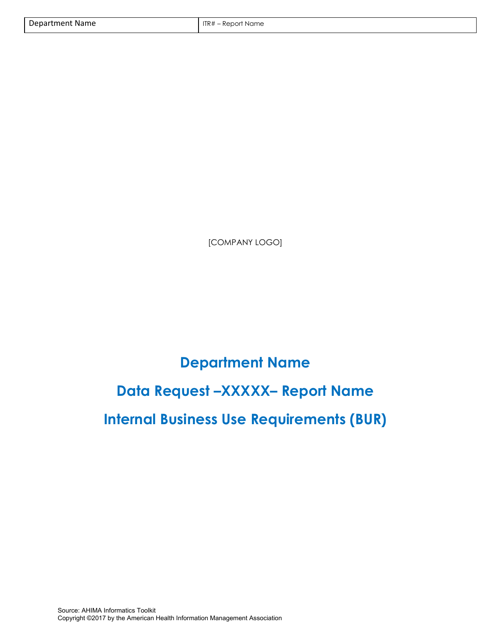[COMPANY LOGO]

# **Department Name Data Request –XXXXX– Report Name Internal Business Use Requirements (BUR)**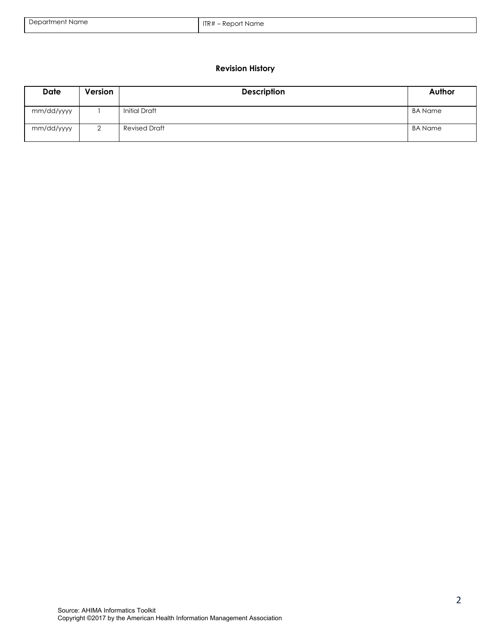| Department Name | ITR $#$<br>– Report Name |
|-----------------|--------------------------|
|                 |                          |

# **Revision History**

| <b>Date</b> | Version | <b>Description</b>   | Author  |
|-------------|---------|----------------------|---------|
| mm/dd/yyyy  |         | <b>Initial Draft</b> | BA Name |
| mm/dd/yyyy  | ∸       | Revised Draft        | BA Name |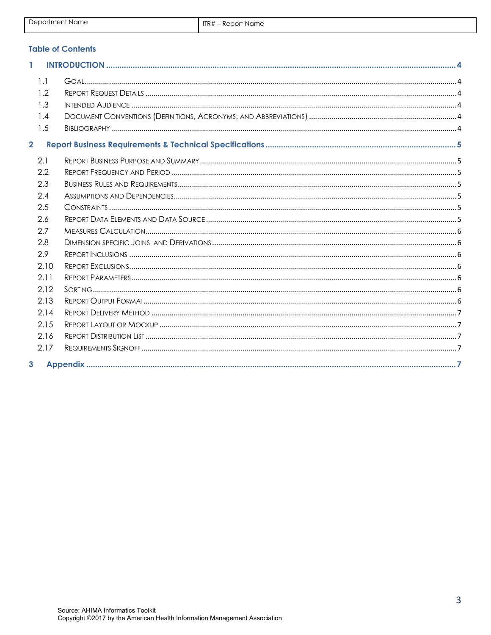## **Table of Contents**

| 1                       |                                 |  |
|-------------------------|---------------------------------|--|
|                         | 1.1<br>1.2<br>1.3<br>1.4<br>1.5 |  |
| $\overline{\mathbf{2}}$ |                                 |  |
|                         | 2.1<br>2.2                      |  |
|                         | 2.3<br>2.4                      |  |
|                         | 2.5<br>2.6                      |  |
|                         | 2.7<br>2.8                      |  |
|                         | 2.9<br>2.10                     |  |
|                         | 2.11<br>2.12<br>2.13            |  |
|                         | 2.14                            |  |
|                         | 2.15<br>2.16<br>2.17            |  |
| 3                       |                                 |  |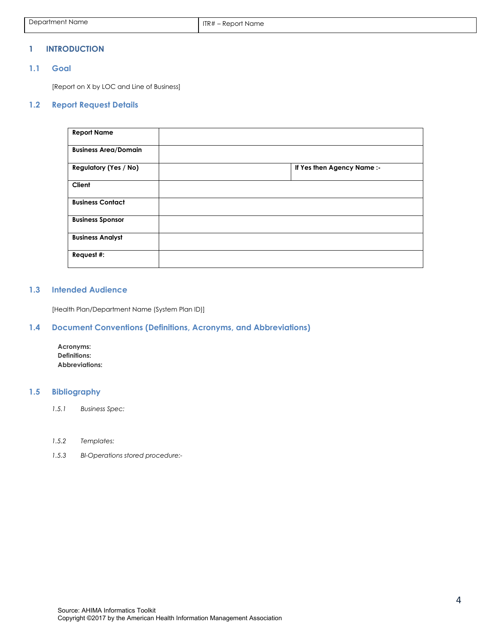#### <span id="page-3-0"></span>**1 INTRODUCTION**

## <span id="page-3-1"></span>**1.1 Goal**

[Report on X by LOC and Line of Business]

### **1.2 Report Request Details**

<span id="page-3-2"></span>

| <b>Report Name</b>           |                            |
|------------------------------|----------------------------|
| <b>Business Area/Domain</b>  |                            |
| <b>Regulatory (Yes / No)</b> | If Yes then Agency Name :- |
| Client                       |                            |
| <b>Business Contact</b>      |                            |
| <b>Business Sponsor</b>      |                            |
| <b>Business Analyst</b>      |                            |
| Request #:                   |                            |

#### <span id="page-3-3"></span>**1.3 Intended Audience**

[Health Plan/Department Name (System Plan ID)]

## <span id="page-3-4"></span>**1.4 Document Conventions (Definitions, Acronyms, and Abbreviations)**

**Acronyms: Definitions: Abbreviations:** 

## <span id="page-3-5"></span>**1.5 Bibliography**

- *1.5.1 Business Spec:*
- *1.5.2 Templates:*
- *1.5.3 BI-Operations stored procedure:-*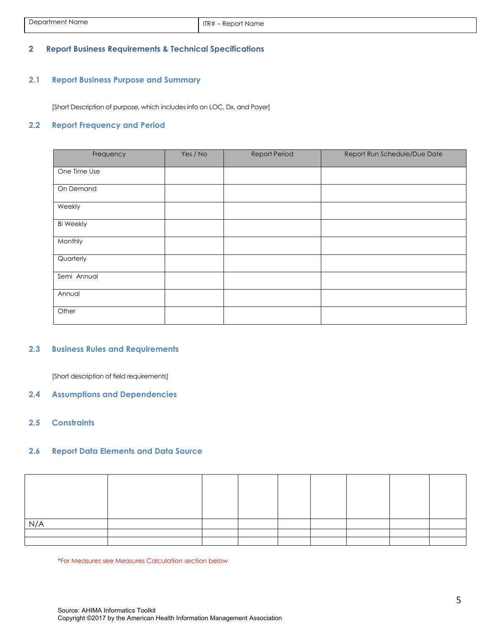## <span id="page-4-0"></span>**2 Report Business Requirements & Technical Specifications**

## <span id="page-4-1"></span>**2.1 Report Business Purpose and Summary**

[Short Description of purpose, which includes info on LOC, Dx, and Payer]

#### <span id="page-4-2"></span>**2.2 Report Frequency and Period**

| Frequency        | Yes / No | <b>Report Period</b> | Report Run Schedule/Due Date |
|------------------|----------|----------------------|------------------------------|
| One Time Use     |          |                      |                              |
| On Demand        |          |                      |                              |
| Weekly           |          |                      |                              |
| <b>Bi Weekly</b> |          |                      |                              |
| Monthly          |          |                      |                              |
| Quarterly        |          |                      |                              |
| Semi Annual      |          |                      |                              |
| Annual           |          |                      |                              |
| Other            |          |                      |                              |

## <span id="page-4-3"></span>**2.3 Business Rules and Requirements**

[Short description of field requirements]

- <span id="page-4-4"></span>**2.4 Assumptions and Dependencies**
- <span id="page-4-5"></span>**2.5 Constraints**

## <span id="page-4-6"></span>**2.6 Report Data Elements and Data Source**

| N/A |  |  |  |  |
|-----|--|--|--|--|
|     |  |  |  |  |
|     |  |  |  |  |

\*For Measures see Measures Calculation section below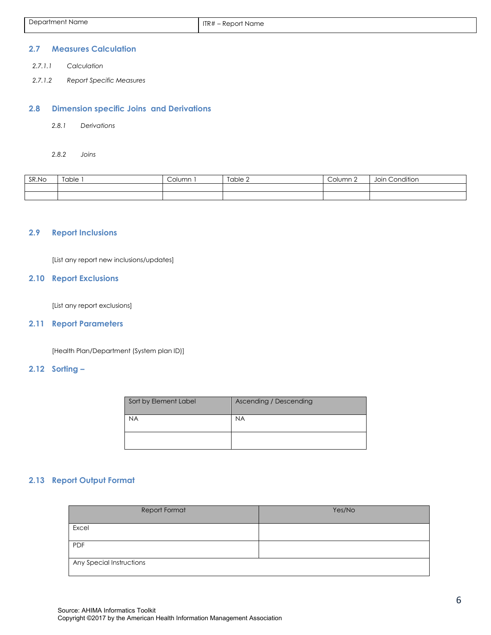| Department Name | ITR# – Report Name |
|-----------------|--------------------|
|                 |                    |

#### <span id="page-5-0"></span>**2.7 Measures Calculation**

- *2.7.1.1 Calculation*
- *2.7.1.2 Report Specific Measures*

#### <span id="page-5-1"></span>**2.8 Dimension specific Joins and Derivations**

*2.8.1 Derivations* 

*2.8.2 Joins* 

<span id="page-5-2"></span>

| SR.No | $\overline{\phantom{a}}$<br>[able | $\sim$ $\sim$<br><b>COIDITII</b> | Table 2 | Column 2 | 10.15<br>Condition<br>Joir |
|-------|-----------------------------------|----------------------------------|---------|----------|----------------------------|
|       |                                   |                                  |         |          |                            |
|       |                                   |                                  |         |          |                            |

## **2.9 Report Inclusions**

[List any report new inclusions/updates]

## <span id="page-5-3"></span>**2.10 Report Exclusions**

[List any report exclusions]

#### <span id="page-5-4"></span>**2.11 Report Parameters**

[Health Plan/Department (System plan ID)]

## <span id="page-5-5"></span>**2.12 Sorting –**

| Sort by Element Label | Ascending / Descending |
|-----------------------|------------------------|
| <b>NA</b>             | <b>NA</b>              |
|                       |                        |

## <span id="page-5-6"></span>**2.13 Report Output Format**

| Report Format            | Yes/No |
|--------------------------|--------|
| Excel                    |        |
| PDF                      |        |
| Any Special Instructions |        |